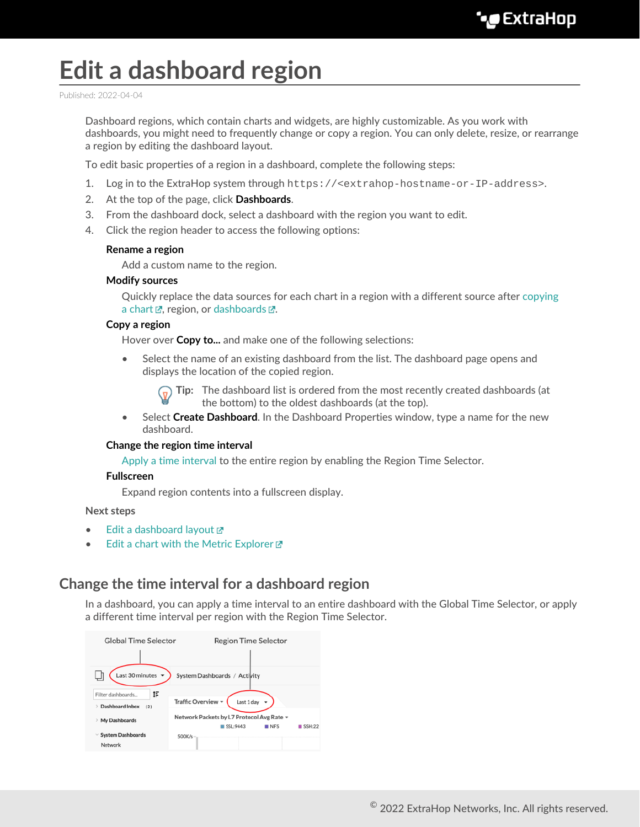# **Edit a dashboard region**

Published: 2022-04-04

Dashboard regions, which contain charts and widgets, are highly customizable. As you work with dashboards, you might need to frequently change or copy a region. You can only delete, resize, or rearrange a region by editing the dashboard layout.

To edit basic properties of a region in a dashboard, complete the following steps:

- 1. Log in to the ExtraHop system through https://<extrahop-hostname-or-IP-address>.
- 2. At the top of the page, click **Dashboards**.
- 3. From the dashboard dock, select a dashboard with the region you want to edit.
- 4. Click the region header to access the following options:

#### **Rename a region**

Add a custom name to the region.

#### **Modify sources**

Quickly replace the data sources for each chart in a region with a different source after [copying](https://docs.extrahop.com/8.9/copy-chart) [a chart](https://docs.extrahop.com/8.9/copy-chart)  $\mathbb{Z}$ , region, or [dashboards](https://docs.extrahop.com/8.9/copy-dashboard)  $\mathbb{Z}$ .

#### **Copy a region**

Hover over **Copy to...** and make one of the following selections:

• Select the name of an existing dashboard from the list. The dashboard page opens and displays the location of the copied region.

**Tip:** The dashboard list is ordered from the most recently created dashboards (at the bottom) to the oldest dashboards (at the top).

• Select **Create Dashboard**. In the Dashboard Properties window, type a name for the new dashboard.

#### **Change the region time interval**

[Apply a time interval](#page-0-0) to the entire region by enabling the Region Time Selector.

#### **Fullscreen**

Expand region contents into a fullscreen display.

#### **Next steps**

- [Edit a dashboard layout](https://docs.extrahop.com/8.9/edit-dashboard-layout)
- Edit a chart with the Metric Explorer

### <span id="page-0-0"></span>**Change the time interval for a dashboard region**

In a dashboard, you can apply a time interval to an entire dashboard with the Global Time Selector, or apply a different time interval per region with the Region Time Selector.

| <b>Global Time Selector</b>                                          | <b>Region Time Selector</b>               |
|----------------------------------------------------------------------|-------------------------------------------|
|                                                                      |                                           |
| Last 30 minutes $\blacktriangledown$<br>System Dashboards / Activity |                                           |
| ı<br>Filter dashboards                                               |                                           |
| Dashboard Inbox<br>><br>(2)                                          | Traffic Overview -<br>Last $1$ day $\sim$ |
| My Dashboards<br>y                                                   | Network Packets by L7 Protocol Avg Rate - |
|                                                                      | SSL:9443<br>NFS<br>SSH:22                 |
| $\vee$ System Dashboards                                             | 500K/s                                    |
| Network                                                              |                                           |